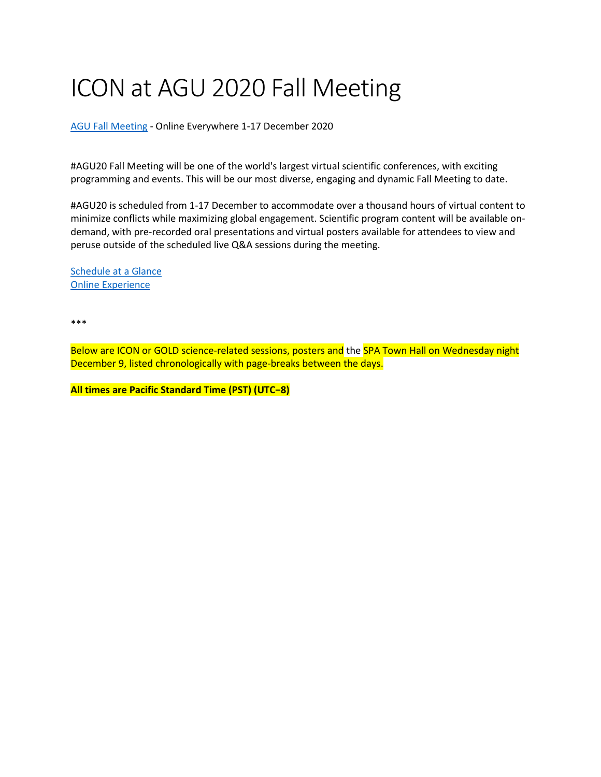# ICON at AGU 2020 Fall Meeting

[AGU Fall Meeting](https://www.agu.org/fall-meeting) - Online Everywhere 1-17 December 2020

#AGU20 Fall Meeting will be one of the world's largest virtual scientific conferences, with exciting programming and events. This will be our most diverse, engaging and dynamic Fall Meeting to date.

#AGU20 is scheduled from 1-17 December to accommodate over a thousand hours of virtual content to minimize conflicts while maximizing global engagement. Scientific program content will be available ondemand, with pre-recorded oral presentations and virtual posters available for attendees to view and peruse outside of the scheduled live Q&A sessions during the meeting.

[Schedule at a Glance](https://www.agu.org/Fall-Meeting/Pages/Schedule-Program/Schedule-at-a-Glance) [Online Experience](https://www.agu.org/Fall-Meeting/Pages/Attend/Online-Experience)

\*\*\*

Below are ICON or GOLD science-related sessions, posters and the SPA Town Hall on Wednesday night December 9, listed chronologically with page-breaks between the days.

**All times are Pacific Standard Time (PST) (UTC−8)**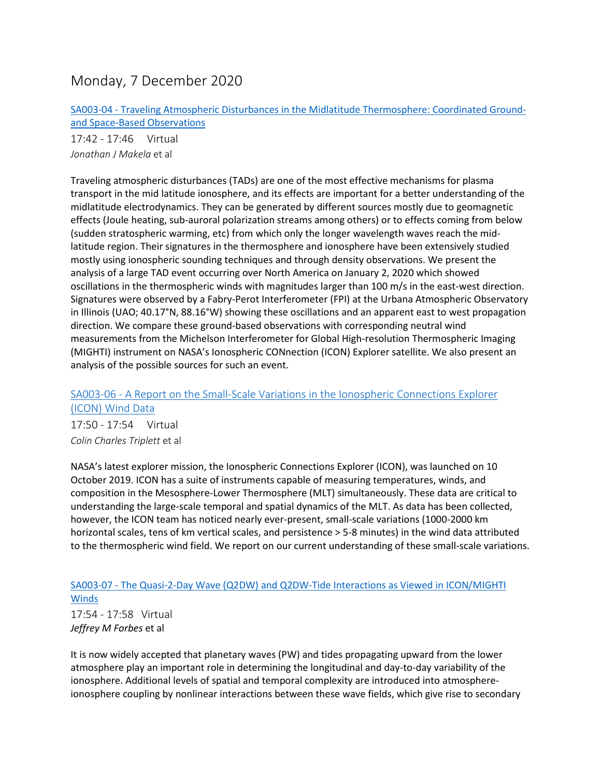# Monday, 7 December 2020

SA003-04 - [Traveling Atmospheric Disturbances in the Midlatitude](https://agu.confex.com/agu/fm20/meetingapp.cgi/Paper/682895) Thermosphere: Coordinated Ground[and Space-Based Observations](https://agu.confex.com/agu/fm20/meetingapp.cgi/Paper/682895)

17:42 - 17:46 Virtual *Jonathan J Makela* et al

Traveling atmospheric disturbances (TADs) are one of the most effective mechanisms for plasma transport in the mid latitude ionosphere, and its effects are important for a better understanding of the midlatitude electrodynamics. They can be generated by different sources mostly due to geomagnetic effects (Joule heating, sub-auroral polarization streams among others) or to effects coming from below (sudden stratospheric warming, etc) from which only the longer wavelength waves reach the midlatitude region. Their signatures in the thermosphere and ionosphere have been extensively studied mostly using ionospheric sounding techniques and through density observations. We present the analysis of a large TAD event occurring over North America on January 2, 2020 which showed oscillations in the thermospheric winds with magnitudes larger than 100 m/s in the east-west direction. Signatures were observed by a Fabry-Perot Interferometer (FPI) at the Urbana Atmospheric Observatory in Illinois (UAO; 40.17°N, 88.16°W) showing these oscillations and an apparent east to west propagation direction. We compare these ground-based observations with corresponding neutral wind measurements from the Michelson Interferometer for Global High-resolution Thermospheric Imaging (MIGHTI) instrument on NASA's Ionospheric CONnection (ICON) Explorer satellite. We also present an analysis of the possible sources for such an event.

# SA003-06 - A Report on the Small-Scale [Variations in the Ionospheric Connections Explorer](https://agu.confex.com/agu/fm20/meetingapp.cgi/Paper/704192)  [\(ICON\) Wind Data](https://agu.confex.com/agu/fm20/meetingapp.cgi/Paper/704192)

17:50 - 17:54 Virtual *Colin Charles Triplett* et al

NASA's latest explorer mission, the Ionospheric Connections Explorer (ICON), was launched on 10 October 2019. ICON has a suite of instruments capable of measuring temperatures, winds, and composition in the Mesosphere-Lower Thermosphere (MLT) simultaneously. These data are critical to understanding the large-scale temporal and spatial dynamics of the MLT. As data has been collected, however, the ICON team has noticed nearly ever-present, small-scale variations (1000-2000 km horizontal scales, tens of km vertical scales, and persistence > 5-8 minutes) in the wind data attributed to the thermospheric wind field. We report on our current understanding of these small-scale variations.

# SA003-07 - [The Quasi-2-Day Wave \(Q2DW\) and Q2DW-Tide Interactions as Viewed in ICON/MIGHTI](https://agu.confex.com/agu/fm20/meetingapp.cgi/Paper/703383)  [Winds](https://agu.confex.com/agu/fm20/meetingapp.cgi/Paper/703383)

17:54 - 17:58 Virtual *Jeffrey M Forbes* et al

It is now widely accepted that planetary waves (PW) and tides propagating upward from the lower atmosphere play an important role in determining the longitudinal and day-to-day variability of the ionosphere. Additional levels of spatial and temporal complexity are introduced into atmosphereionosphere coupling by nonlinear interactions between these wave fields, which give rise to secondary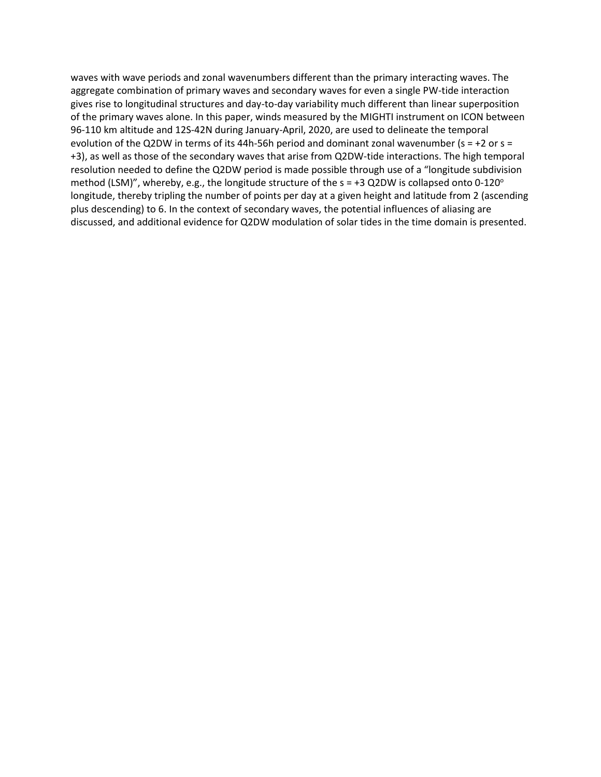waves with wave periods and zonal wavenumbers different than the primary interacting waves. The aggregate combination of primary waves and secondary waves for even a single PW-tide interaction gives rise to longitudinal structures and day-to-day variability much different than linear superposition of the primary waves alone. In this paper, winds measured by the MIGHTI instrument on ICON between 96-110 km altitude and 12S-42N during January-April, 2020, are used to delineate the temporal evolution of the Q2DW in terms of its 44h-56h period and dominant zonal wavenumber ( $s = +2$  or  $s =$ +3), as well as those of the secondary waves that arise from Q2DW-tide interactions. The high temporal resolution needed to define the Q2DW period is made possible through use of a "longitude subdivision method (LSM)", whereby, e.g., the longitude structure of the  $s = +3$  Q2DW is collapsed onto 0-120° longitude, thereby tripling the number of points per day at a given height and latitude from 2 (ascending plus descending) to 6. In the context of secondary waves, the potential influences of aliasing are discussed, and additional evidence for Q2DW modulation of solar tides in the time domain is presented.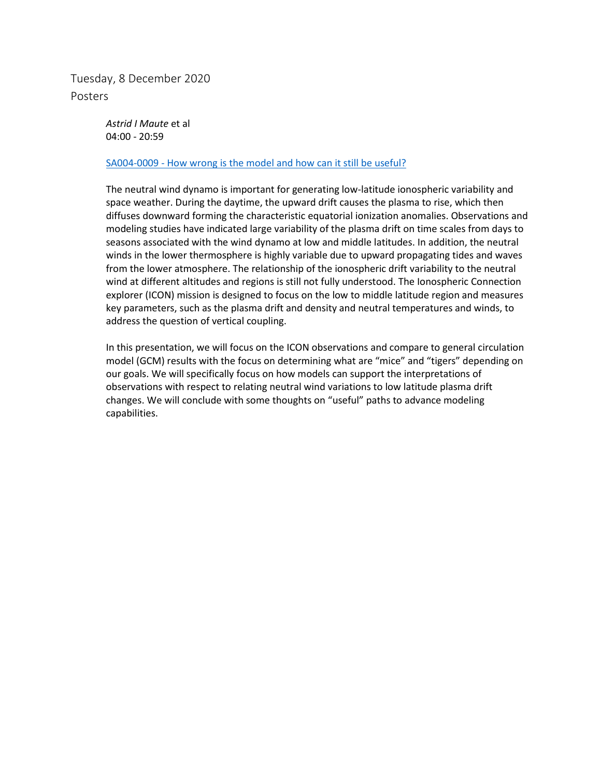Tuesday, 8 December 2020 Posters

> *Astrid I Maute* et al 04:00 - 20:59

#### SA004-0009 - [How wrong is the model and how can it still be useful?](https://agu.confex.com/agu/fm20/meetingapp.cgi/Paper/695038)

The neutral wind dynamo is important for generating low-latitude ionospheric variability and space weather. During the daytime, the upward drift causes the plasma to rise, which then diffuses downward forming the characteristic equatorial ionization anomalies. Observations and modeling studies have indicated large variability of the plasma drift on time scales from days to seasons associated with the wind dynamo at low and middle latitudes. In addition, the neutral winds in the lower thermosphere is highly variable due to upward propagating tides and waves from the lower atmosphere. The relationship of the ionospheric drift variability to the neutral wind at different altitudes and regions is still not fully understood. The Ionospheric Connection explorer (ICON) mission is designed to focus on the low to middle latitude region and measures key parameters, such as the plasma drift and density and neutral temperatures and winds, to address the question of vertical coupling.

In this presentation, we will focus on the ICON observations and compare to general circulation model (GCM) results with the focus on determining what are "mice" and "tigers" depending on our goals. We will specifically focus on how models can support the interpretations of observations with respect to relating neutral wind variations to low latitude plasma drift changes. We will conclude with some thoughts on "useful" paths to advance modeling capabilities.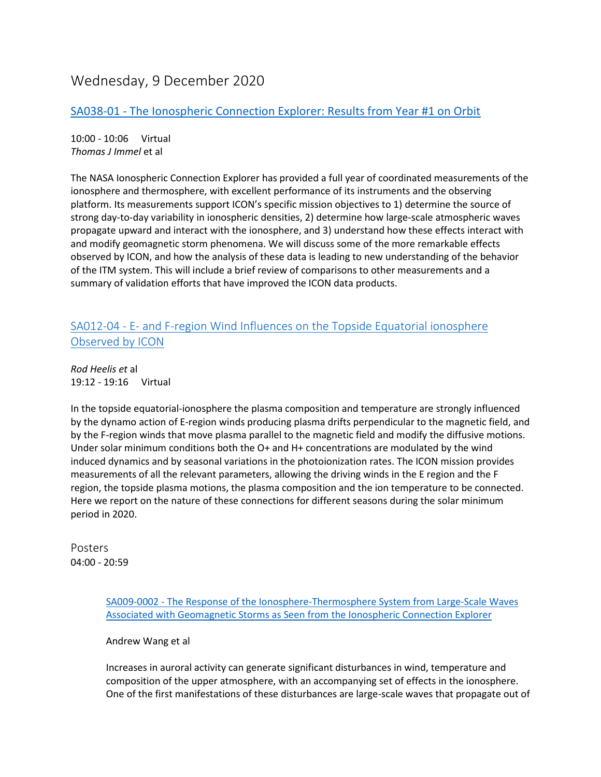# Wednesday, 9 December 2020

# SA038-01 - [The Ionospheric Connection Explorer: Results from Year #1 on Orbit](https://agu.confex.com/agu/fm20/meetingapp.cgi/Paper/671280)

10:00 - 10:06 Virtual *Thomas J Immel* et al

The NASA Ionospheric Connection Explorer has provided a full year of coordinated measurements of the ionosphere and thermosphere, with excellent performance of its instruments and the observing platform. Its measurements support ICON's specific mission objectives to 1) determine the source of strong day-to-day variability in ionospheric densities, 2) determine how large-scale atmospheric waves propagate upward and interact with the ionosphere, and 3) understand how these effects interact with and modify geomagnetic storm phenomena. We will discuss some of the more remarkable effects observed by ICON, and how the analysis of these data is leading to new understanding of the behavior of the ITM system. This will include a brief review of comparisons to other measurements and a summary of validation efforts that have improved the ICON data products.

# SA012-04 - E- [and F-region Wind Influences on the Topside Equatorial ionosphere](https://agu.confex.com/agu/fm20/meetingapp.cgi/Paper/695661)  [Observed by ICON](https://agu.confex.com/agu/fm20/meetingapp.cgi/Paper/695661)

*Rod Heelis et* al 19:12 - 19:16 Virtual

In the topside equatorial-ionosphere the plasma composition and temperature are strongly influenced by the dynamo action of E-region winds producing plasma drifts perpendicular to the magnetic field, and by the F-region winds that move plasma parallel to the magnetic field and modify the diffusive motions. Under solar minimum conditions both the O+ and H+ concentrations are modulated by the wind induced dynamics and by seasonal variations in the photoionization rates. The ICON mission provides measurements of all the relevant parameters, allowing the driving winds in the E region and the F region, the topside plasma motions, the plasma composition and the ion temperature to be connected. Here we report on the nature of these connections for different seasons during the solar minimum period in 2020.

Posters 04:00 - 20:59

> SA009-0002 - [The Response of the Ionosphere-Thermosphere System from Large-Scale Waves](https://agu.confex.com/agu/fm20/meetingapp.cgi/Paper/686769)  [Associated with Geomagnetic Storms as Seen from the Ionospheric Connection Explorer](https://agu.confex.com/agu/fm20/meetingapp.cgi/Paper/686769)

Andrew Wang et al

Increases in auroral activity can generate significant disturbances in wind, temperature and composition of the upper atmosphere, with an accompanying set of effects in the ionosphere. One of the first manifestations of these disturbances are large-scale waves that propagate out of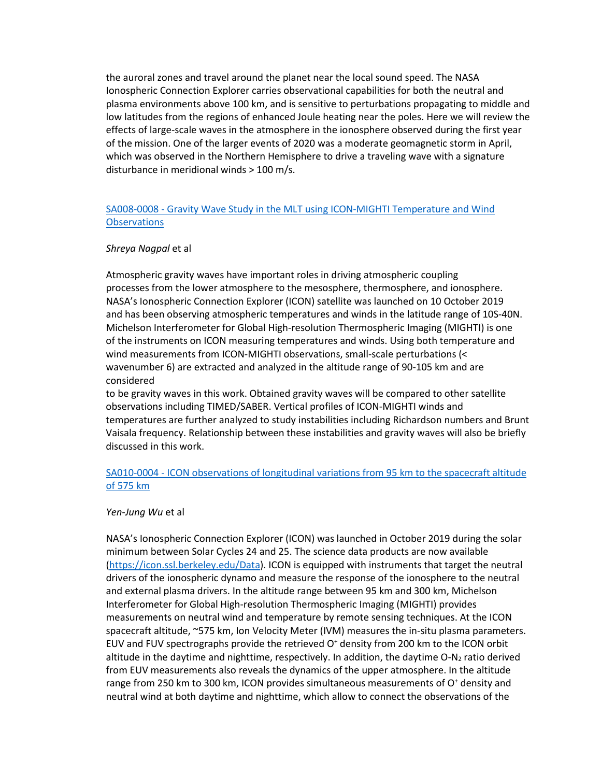the auroral zones and travel around the planet near the local sound speed. The NASA Ionospheric Connection Explorer carries observational capabilities for both the neutral and plasma environments above 100 km, and is sensitive to perturbations propagating to middle and low latitudes from the regions of enhanced Joule heating near the poles. Here we will review the effects of large-scale waves in the atmosphere in the ionosphere observed during the first year of the mission. One of the larger events of 2020 was a moderate geomagnetic storm in April, which was observed in the Northern Hemisphere to drive a traveling wave with a signature disturbance in meridional winds > 100 m/s.

### SA008-0008 - [Gravity Wave Study in the MLT using ICON-MIGHTI Temperature and Wind](https://agu.confex.com/agu/fm20/meetingapp.cgi/Paper/701896)  **[Observations](https://agu.confex.com/agu/fm20/meetingapp.cgi/Paper/701896)**

#### *Shreya Nagpal* et al

Atmospheric gravity waves have important roles in driving atmospheric coupling processes from the lower atmosphere to the mesosphere, thermosphere, and ionosphere. NASA's Ionospheric Connection Explorer (ICON) satellite was launched on 10 October 2019 and has been observing atmospheric temperatures and winds in the latitude range of 10S-40N. Michelson Interferometer for Global High-resolution Thermospheric Imaging (MIGHTI) is one of the instruments on ICON measuring temperatures and winds. Using both temperature and wind measurements from ICON-MIGHTI observations, small-scale perturbations (< wavenumber 6) are extracted and analyzed in the altitude range of 90-105 km and are considered

to be gravity waves in this work. Obtained gravity waves will be compared to other satellite observations including TIMED/SABER. Vertical profiles of ICON-MIGHTI winds and temperatures are further analyzed to study instabilities including Richardson numbers and Brunt Vaisala frequency. Relationship between these instabilities and gravity waves will also be briefly discussed in this work.

### SA010-0004 - [ICON observations of longitudinal variations from 95 km to the spacecraft altitude](https://agu.confex.com/agu/fm20/meetingapp.cgi/Paper/720044)  [of 575 km](https://agu.confex.com/agu/fm20/meetingapp.cgi/Paper/720044)

#### *Yen-Jung Wu* et al

NASA's Ionospheric Connection Explorer (ICON) was launched in October 2019 during the solar minimum between Solar Cycles 24 and 25. The science data products are now available [\(https://icon.ssl.berkeley.edu/Data\)](https://icon.ssl.berkeley.edu/Data). ICON is equipped with instruments that target the neutral drivers of the ionospheric dynamo and measure the response of the ionosphere to the neutral and external plasma drivers. In the altitude range between 95 km and 300 km, Michelson Interferometer for Global High-resolution Thermospheric Imaging (MIGHTI) provides measurements on neutral wind and temperature by remote sensing techniques. At the ICON spacecraft altitude, ~575 km, Ion Velocity Meter (IVM) measures the in-situ plasma parameters. EUV and FUV spectrographs provide the retrieved  $O<sup>+</sup>$  density from 200 km to the ICON orbit altitude in the daytime and nighttime, respectively. In addition, the daytime  $O-N<sub>2</sub>$  ratio derived from EUV measurements also reveals the dynamics of the upper atmosphere. In the altitude range from 250 km to 300 km, ICON provides simultaneous measurements of  $O<sup>+</sup>$  density and neutral wind at both daytime and nighttime, which allow to connect the observations of the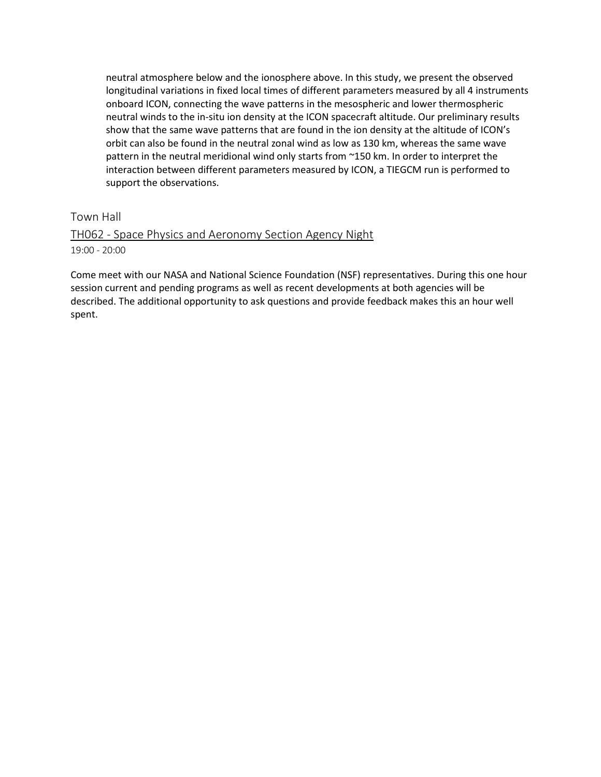neutral atmosphere below and the ionosphere above. In this study, we present the observed longitudinal variations in fixed local times of different parameters measured by all 4 instruments onboard ICON, connecting the wave patterns in the mesospheric and lower thermospheric neutral winds to the in-situ ion density at the ICON spacecraft altitude. Our preliminary results show that the same wave patterns that are found in the ion density at the altitude of ICON's orbit can also be found in the neutral zonal wind as low as 130 km, whereas the same wave pattern in the neutral meridional wind only starts from ~150 km. In order to interpret the interaction between different parameters measured by ICON, a TIEGCM run is performed to support the observations.

### Town Hall

### TH062 - [Space Physics and Aeronomy Section Agency Night](https://agu.confex.com/agu/fm20/meetingapp.cgi/Session/104139) 19:00 - 20:00

Come meet with our NASA and National Science Foundation (NSF) representatives. During this one hour session current and pending programs as well as recent developments at both agencies will be described. The additional opportunity to ask questions and provide feedback makes this an hour well spent.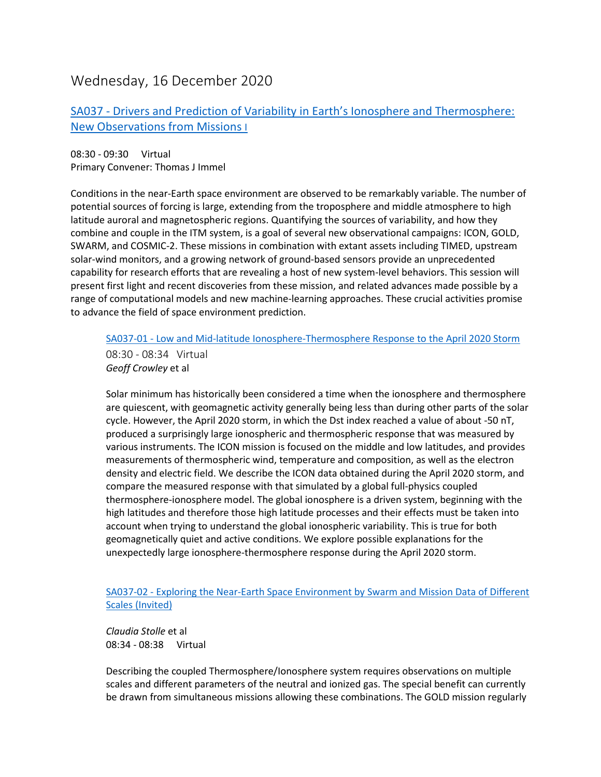# Wednesday, 16 December 2020

# SA037 - [Drivers and Prediction of Variability in Earth's Ionosphere and Thermosphere:](https://agu.confex.com/agu/fm20/meetingapp.cgi/Session/106692)  [New Observations from Missions I](https://agu.confex.com/agu/fm20/meetingapp.cgi/Session/106692)

08:30 - 09:30 Virtual Primary Convener: Thomas J Immel

Conditions in the near-Earth space environment are observed to be remarkably variable. The number of potential sources of forcing is large, extending from the troposphere and middle atmosphere to high latitude auroral and magnetospheric regions. Quantifying the sources of variability, and how they combine and couple in the ITM system, is a goal of several new observational campaigns: ICON, GOLD, SWARM, and COSMIC-2. These missions in combination with extant assets including TIMED, upstream solar-wind monitors, and a growing network of ground-based sensors provide an unprecedented capability for research efforts that are revealing a host of new system-level behaviors. This session will present first light and recent discoveries from these mission, and related advances made possible by a range of computational models and new machine-learning approaches. These crucial activities promise to advance the field of space environment prediction.

SA037-01 - [Low and Mid-latitude Ionosphere-Thermosphere Response to the April 2020 Storm](https://agu.confex.com/agu/fm20/meetingapp.cgi/Paper/770807)

08:30 - 08:34 Virtual *Geoff Crowley* et al

Solar minimum has historically been considered a time when the ionosphere and thermosphere are quiescent, with geomagnetic activity generally being less than during other parts of the solar cycle. However, the April 2020 storm, in which the Dst index reached a value of about -50 nT, produced a surprisingly large ionospheric and thermospheric response that was measured by various instruments. The ICON mission is focused on the middle and low latitudes, and provides measurements of thermospheric wind, temperature and composition, as well as the electron density and electric field. We describe the ICON data obtained during the April 2020 storm, and compare the measured response with that simulated by a global full-physics coupled thermosphere-ionosphere model. The global ionosphere is a driven system, beginning with the high latitudes and therefore those high latitude processes and their effects must be taken into account when trying to understand the global ionospheric variability. This is true for both geomagnetically quiet and active conditions. We explore possible explanations for the unexpectedly large ionosphere-thermosphere response during the April 2020 storm.

SA037-02 - [Exploring the Near-Earth Space Environment by Swarm and Mission Data of Different](https://agu.confex.com/agu/fm20/meetingapp.cgi/Paper/664718)  [Scales \(Invited\)](https://agu.confex.com/agu/fm20/meetingapp.cgi/Paper/664718)

*Claudia Stolle* et al 08:34 - 08:38 Virtual

Describing the coupled Thermosphere/Ionosphere system requires observations on multiple scales and different parameters of the neutral and ionized gas. The special benefit can currently be drawn from simultaneous missions allowing these combinations. The GOLD mission regularly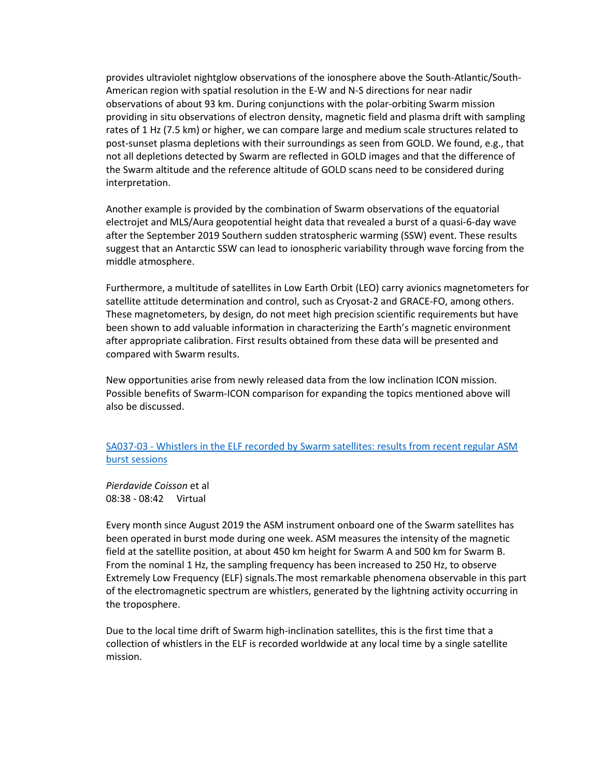provides ultraviolet nightglow observations of the ionosphere above the South-Atlantic/South-American region with spatial resolution in the E-W and N-S directions for near nadir observations of about 93 km. During conjunctions with the polar-orbiting Swarm mission providing in situ observations of electron density, magnetic field and plasma drift with sampling rates of 1 Hz (7.5 km) or higher, we can compare large and medium scale structures related to post-sunset plasma depletions with their surroundings as seen from GOLD. We found, e.g., that not all depletions detected by Swarm are reflected in GOLD images and that the difference of the Swarm altitude and the reference altitude of GOLD scans need to be considered during interpretation.

Another example is provided by the combination of Swarm observations of the equatorial electrojet and MLS/Aura geopotential height data that revealed a burst of a quasi-6-day wave after the September 2019 Southern sudden stratospheric warming (SSW) event. These results suggest that an Antarctic SSW can lead to ionospheric variability through wave forcing from the middle atmosphere.

Furthermore, a multitude of satellites in Low Earth Orbit (LEO) carry avionics magnetometers for satellite attitude determination and control, such as Cryosat-2 and GRACE-FO, among others. These magnetometers, by design, do not meet high precision scientific requirements but have been shown to add valuable information in characterizing the Earth's magnetic environment after appropriate calibration. First results obtained from these data will be presented and compared with Swarm results.

New opportunities arise from newly released data from the low inclination ICON mission. Possible benefits of Swarm-ICON comparison for expanding the topics mentioned above will also be discussed.

### SA037-03 - [Whistlers in the ELF recorded by Swarm satellites: results from recent regular ASM](https://agu.confex.com/agu/fm20/meetingapp.cgi/Paper/741367)  [burst sessions](https://agu.confex.com/agu/fm20/meetingapp.cgi/Paper/741367)

*Pierdavide Coisson* et al 08:38 - 08:42 Virtual

Every month since August 2019 the ASM instrument onboard one of the Swarm satellites has been operated in burst mode during one week. ASM measures the intensity of the magnetic field at the satellite position, at about 450 km height for Swarm A and 500 km for Swarm B. From the nominal 1 Hz, the sampling frequency has been increased to 250 Hz, to observe Extremely Low Frequency (ELF) signals.The most remarkable phenomena observable in this part of the electromagnetic spectrum are whistlers, generated by the lightning activity occurring in the troposphere.

Due to the local time drift of Swarm high-inclination satellites, this is the first time that a collection of whistlers in the ELF is recorded worldwide at any local time by a single satellite mission.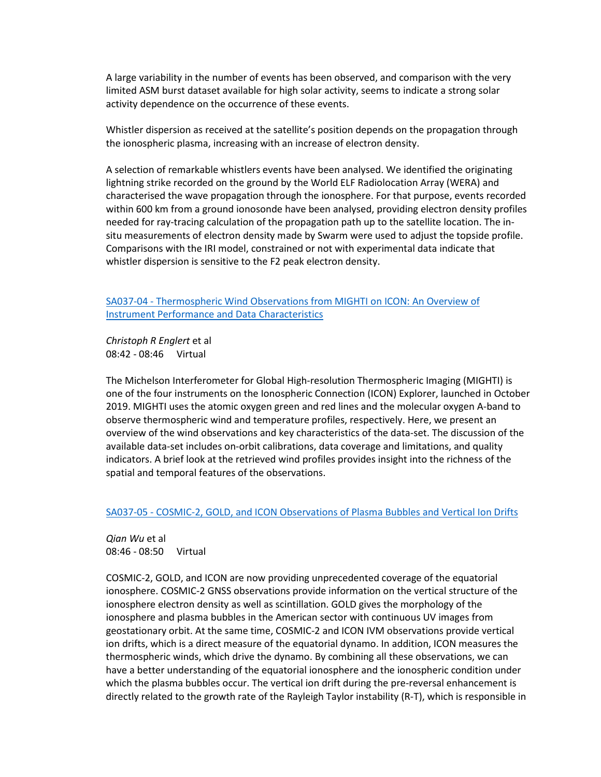A large variability in the number of events has been observed, and comparison with the very limited ASM burst dataset available for high solar activity, seems to indicate a strong solar activity dependence on the occurrence of these events.

Whistler dispersion as received at the satellite's position depends on the propagation through the ionospheric plasma, increasing with an increase of electron density.

A selection of remarkable whistlers events have been analysed. We identified the originating lightning strike recorded on the ground by the World ELF Radiolocation Array (WERA) and characterised the wave propagation through the ionosphere. For that purpose, events recorded within 600 km from a ground ionosonde have been analysed, providing electron density profiles needed for ray-tracing calculation of the propagation path up to the satellite location. The insitu measurements of electron density made by Swarm were used to adjust the topside profile. Comparisons with the IRI model, constrained or not with experimental data indicate that whistler dispersion is sensitive to the F2 peak electron density.

SA037-04 - [Thermospheric Wind Observations from MIGHTI on ICON: An Overview of](https://agu.confex.com/agu/fm20/meetingapp.cgi/Paper/669194)  [Instrument Performance and Data Characteristics](https://agu.confex.com/agu/fm20/meetingapp.cgi/Paper/669194)

*Christoph R Englert* et al 08:42 - 08:46 Virtual

The Michelson Interferometer for Global High-resolution Thermospheric Imaging (MIGHTI) is one of the four instruments on the Ionospheric Connection (ICON) Explorer, launched in October 2019. MIGHTI uses the atomic oxygen green and red lines and the molecular oxygen A-band to observe thermospheric wind and temperature profiles, respectively. Here, we present an overview of the wind observations and key characteristics of the data-set. The discussion of the available data-set includes on-orbit calibrations, data coverage and limitations, and quality indicators. A brief look at the retrieved wind profiles provides insight into the richness of the spatial and temporal features of the observations.

#### SA037-05 - [COSMIC-2, GOLD, and ICON Observations of Plasma Bubbles and Vertical Ion Drifts](https://agu.confex.com/agu/fm20/meetingapp.cgi/Paper/672079)

*Qian Wu* et al 08:46 - 08:50 Virtual

COSMIC-2, GOLD, and ICON are now providing unprecedented coverage of the equatorial ionosphere. COSMIC-2 GNSS observations provide information on the vertical structure of the ionosphere electron density as well as scintillation. GOLD gives the morphology of the ionosphere and plasma bubbles in the American sector with continuous UV images from geostationary orbit. At the same time, COSMIC-2 and ICON IVM observations provide vertical ion drifts, which is a direct measure of the equatorial dynamo. In addition, ICON measures the thermospheric winds, which drive the dynamo. By combining all these observations, we can have a better understanding of the equatorial ionosphere and the ionospheric condition under which the plasma bubbles occur. The vertical ion drift during the pre-reversal enhancement is directly related to the growth rate of the Rayleigh Taylor instability (R-T), which is responsible in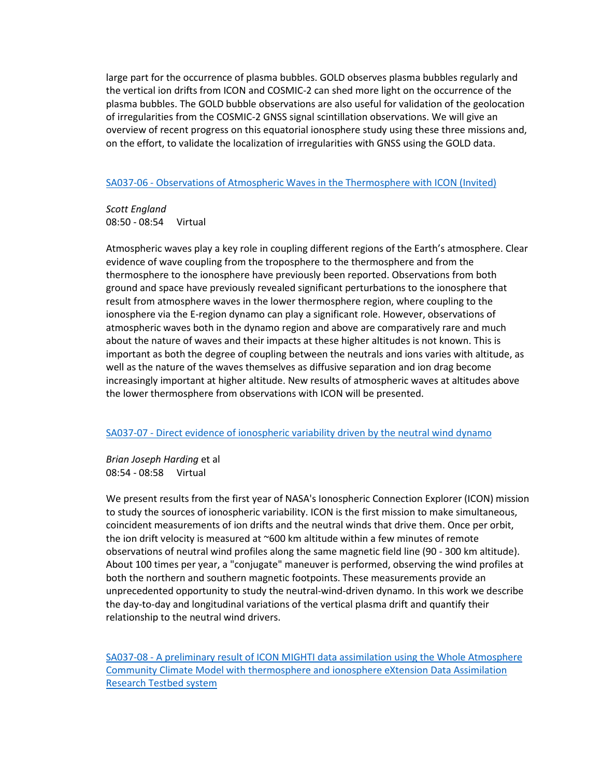large part for the occurrence of plasma bubbles. GOLD observes plasma bubbles regularly and the vertical ion drifts from ICON and COSMIC-2 can shed more light on the occurrence of the plasma bubbles. The GOLD bubble observations are also useful for validation of the geolocation of irregularities from the COSMIC-2 GNSS signal scintillation observations. We will give an overview of recent progress on this equatorial ionosphere study using these three missions and, on the effort, to validate the localization of irregularities with GNSS using the GOLD data.

### SA037-06 - [Observations of Atmospheric Waves in the Thermosphere with ICON \(Invited\)](https://agu.confex.com/agu/fm20/meetingapp.cgi/Paper/664712)

*Scott England* 08:50 - 08:54 Virtual

Atmospheric waves play a key role in coupling different regions of the Earth's atmosphere. Clear evidence of wave coupling from the troposphere to the thermosphere and from the thermosphere to the ionosphere have previously been reported. Observations from both ground and space have previously revealed significant perturbations to the ionosphere that result from atmosphere waves in the lower thermosphere region, where coupling to the ionosphere via the E-region dynamo can play a significant role. However, observations of atmospheric waves both in the dynamo region and above are comparatively rare and much about the nature of waves and their impacts at these higher altitudes is not known. This is important as both the degree of coupling between the neutrals and ions varies with altitude, as well as the nature of the waves themselves as diffusive separation and ion drag become increasingly important at higher altitude. New results of atmospheric waves at altitudes above the lower thermosphere from observations with ICON will be presented.

### SA037-07 - [Direct evidence of ionospheric variability driven by the neutral wind dynamo](https://agu.confex.com/agu/fm20/meetingapp.cgi/Paper/705408)

*Brian Joseph Harding* et al 08:54 - 08:58 Virtual

We present results from the first year of NASA's Ionospheric Connection Explorer (ICON) mission to study the sources of ionospheric variability. ICON is the first mission to make simultaneous, coincident measurements of ion drifts and the neutral winds that drive them. Once per orbit, the ion drift velocity is measured at  $\sim$  600 km altitude within a few minutes of remote observations of neutral wind profiles along the same magnetic field line (90 - 300 km altitude). About 100 times per year, a "conjugate" maneuver is performed, observing the wind profiles at both the northern and southern magnetic footpoints. These measurements provide an unprecedented opportunity to study the neutral-wind-driven dynamo. In this work we describe the day-to-day and longitudinal variations of the vertical plasma drift and quantify their relationship to the neutral wind drivers.

SA037-08 - [A preliminary result of ICON MIGHTI data assimilation using the Whole Atmosphere](https://agu.confex.com/agu/fm20/meetingapp.cgi/Paper/757035)  [Community Climate Model with thermosphere and ionosphere eXtension Data Assimilation](https://agu.confex.com/agu/fm20/meetingapp.cgi/Paper/757035)  [Research Testbed system](https://agu.confex.com/agu/fm20/meetingapp.cgi/Paper/757035)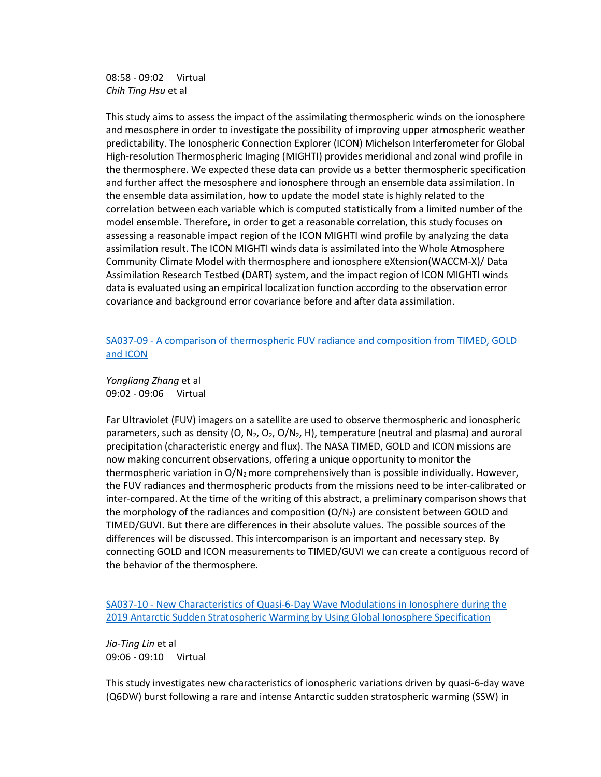08:58 - 09:02 Virtual *Chih Ting Hsu* et al

This study aims to assess the impact of the assimilating thermospheric winds on the ionosphere and mesosphere in order to investigate the possibility of improving upper atmospheric weather predictability. The Ionospheric Connection Explorer (ICON) Michelson Interferometer for Global High-resolution Thermospheric Imaging (MIGHTI) provides meridional and zonal wind profile in the thermosphere. We expected these data can provide us a better thermospheric specification and further affect the mesosphere and ionosphere through an ensemble data assimilation. In the ensemble data assimilation, how to update the model state is highly related to the correlation between each variable which is computed statistically from a limited number of the model ensemble. Therefore, in order to get a reasonable correlation, this study focuses on assessing a reasonable impact region of the ICON MIGHTI wind profile by analyzing the data assimilation result. The ICON MIGHTI winds data is assimilated into the Whole Atmosphere Community Climate Model with thermosphere and ionosphere eXtension(WACCM-X)/ Data Assimilation Research Testbed (DART) system, and the impact region of ICON MIGHTI winds data is evaluated using an empirical localization function according to the observation error covariance and background error covariance before and after data assimilation.

### SA037-09 - [A comparison of thermospheric FUV radiance and composition from TIMED, GOLD](https://agu.confex.com/agu/fm20/meetingapp.cgi/Paper/729595)  [and ICON](https://agu.confex.com/agu/fm20/meetingapp.cgi/Paper/729595)

*Yongliang Zhang* et al 09:02 - 09:06 Virtual

Far Ultraviolet (FUV) imagers on a satellite are used to observe thermospheric and ionospheric parameters, such as density  $(0, N_2, O_2, O/N_2, H)$ , temperature (neutral and plasma) and auroral precipitation (characteristic energy and flux). The NASA TIMED, GOLD and ICON missions are now making concurrent observations, offering a unique opportunity to monitor the thermospheric variation in  $O/N<sub>2</sub>$  more comprehensively than is possible individually. However, the FUV radiances and thermospheric products from the missions need to be inter-calibrated or inter-compared. At the time of the writing of this abstract, a preliminary comparison shows that the morphology of the radiances and composition  $(O/N_2)$  are consistent between GOLD and TIMED/GUVI. But there are differences in their absolute values. The possible sources of the differences will be discussed. This intercomparison is an important and necessary step. By connecting GOLD and ICON measurements to TIMED/GUVI we can create a contiguous record of the behavior of the thermosphere.

SA037-10 - [New Characteristics of Quasi-6-Day Wave Modulations in Ionosphere during the](https://agu.confex.com/agu/fm20/meetingapp.cgi/Paper/774540)  [2019 Antarctic Sudden Stratospheric Warming by Using Global Ionosphere Specification](https://agu.confex.com/agu/fm20/meetingapp.cgi/Paper/774540)

*Jia-Ting Lin* et al 09:06 - 09:10 Virtual

This study investigates new characteristics of ionospheric variations driven by quasi-6-day wave (Q6DW) burst following a rare and intense Antarctic sudden stratospheric warming (SSW) in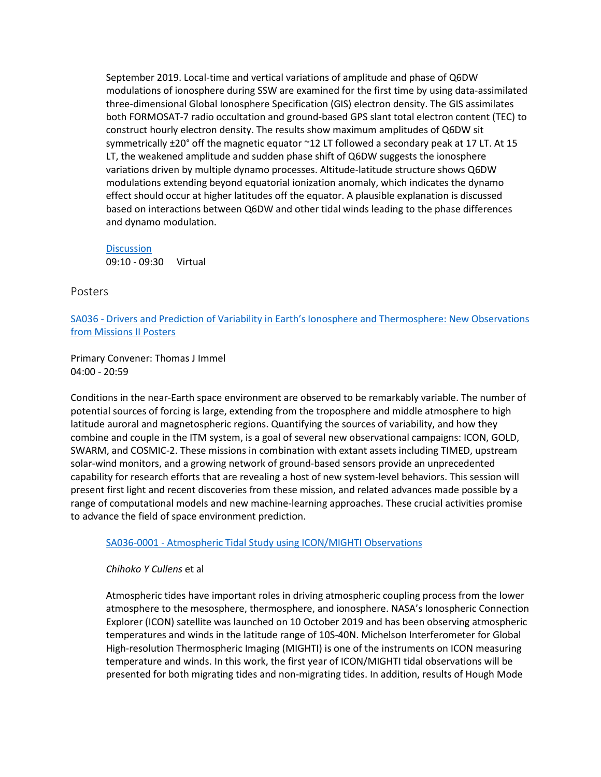September 2019. Local-time and vertical variations of amplitude and phase of Q6DW modulations of ionosphere during SSW are examined for the first time by using data-assimilated three-dimensional Global Ionosphere Specification (GIS) electron density. The GIS assimilates both FORMOSAT-7 radio occultation and ground-based GPS slant total electron content (TEC) to construct hourly electron density. The results show maximum amplitudes of Q6DW sit symmetrically  $\pm 20^{\circ}$  off the magnetic equator ~12 LT followed a secondary peak at 17 LT. At 15 LT, the weakened amplitude and sudden phase shift of Q6DW suggests the ionosphere variations driven by multiple dynamo processes. Altitude-latitude structure shows Q6DW modulations extending beyond equatorial ionization anomaly, which indicates the dynamo effect should occur at higher latitudes off the equator. A plausible explanation is discussed based on interactions between Q6DW and other tidal winds leading to the phase differences and dynamo modulation.

**[Discussion](https://agu.confex.com/agu/fm20/meetingapp.cgi/Paper/782595)** 09:10 - 09:30 Virtual

Posters

SA036 - [Drivers and Prediction of Variability in Earth's Ionosphere and Thermosphere: New Observations](https://agu.confex.com/agu/fm20/meetingapp.cgi/Session/105784)  [from Missions II Posters](https://agu.confex.com/agu/fm20/meetingapp.cgi/Session/105784)

Primary Convener: Thomas J Immel 04:00 - 20:59

Conditions in the near-Earth space environment are observed to be remarkably variable. The number of potential sources of forcing is large, extending from the troposphere and middle atmosphere to high latitude auroral and magnetospheric regions. Quantifying the sources of variability, and how they combine and couple in the ITM system, is a goal of several new observational campaigns: ICON, GOLD, SWARM, and COSMIC-2. These missions in combination with extant assets including TIMED, upstream solar-wind monitors, and a growing network of ground-based sensors provide an unprecedented capability for research efforts that are revealing a host of new system-level behaviors. This session will present first light and recent discoveries from these mission, and related advances made possible by a range of computational models and new machine-learning approaches. These crucial activities promise to advance the field of space environment prediction.

SA036-0001 - [Atmospheric Tidal Study using ICON/MIGHTI Observations](https://agu.confex.com/agu/fm20/meetingapp.cgi/Paper/716653)

*Chihoko Y Cullens* et al

Atmospheric tides have important roles in driving atmospheric coupling process from the lower atmosphere to the mesosphere, thermosphere, and ionosphere. NASA's Ionospheric Connection Explorer (ICON) satellite was launched on 10 October 2019 and has been observing atmospheric temperatures and winds in the latitude range of 10S-40N. Michelson Interferometer for Global High-resolution Thermospheric Imaging (MIGHTI) is one of the instruments on ICON measuring temperature and winds. In this work, the first year of ICON/MIGHTI tidal observations will be presented for both migrating tides and non-migrating tides. In addition, results of Hough Mode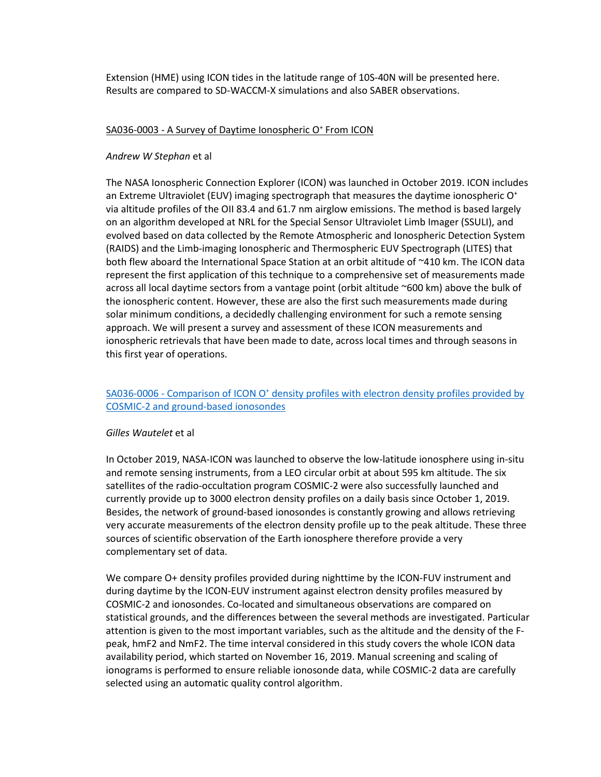Extension (HME) using ICON tides in the latitude range of 10S-40N will be presented here. Results are compared to SD-WACCM-X simulations and also SABER observations.

### SA036-0003 - A Survey of Daytime Ionospheric O<sup>+</sup> From ICON

### *Andrew W Stephan* et al

The NASA Ionospheric Connection Explorer (ICON) was launched in October 2019. ICON includes an Extreme Ultraviolet (EUV) imaging spectrograph that measures the daytime ionospheric  $O<sup>+</sup>$ via altitude profiles of the OII 83.4 and 61.7 nm airglow emissions. The method is based largely on an algorithm developed at NRL for the Special Sensor Ultraviolet Limb Imager (SSULI), and evolved based on data collected by the Remote Atmospheric and Ionospheric Detection System (RAIDS) and the Limb-imaging Ionospheric and Thermospheric EUV Spectrograph (LITES) that both flew aboard the International Space Station at an orbit altitude of ~410 km. The ICON data represent the first application of this technique to a comprehensive set of measurements made across all local daytime sectors from a vantage point (orbit altitude ~600 km) above the bulk of the ionospheric content. However, these are also the first such measurements made during solar minimum conditions, a decidedly challenging environment for such a remote sensing approach. We will present a survey and assessment of these ICON measurements and ionospheric retrievals that have been made to date, across local times and through seasons in this first year of operations.

### SA036-0006 - Comparison of ICON O<sup>+</sup> density profiles with electron density profiles provided by [COSMIC-2 and ground-based ionosondes](https://agu.confex.com/agu/fm20/meetingapp.cgi/Paper/667078)

### *Gilles Wautelet* et al

In October 2019, NASA-ICON was launched to observe the low-latitude ionosphere using in-situ and remote sensing instruments, from a LEO circular orbit at about 595 km altitude. The six satellites of the radio-occultation program COSMIC-2 were also successfully launched and currently provide up to 3000 electron density profiles on a daily basis since October 1, 2019. Besides, the network of ground-based ionosondes is constantly growing and allows retrieving very accurate measurements of the electron density profile up to the peak altitude. These three sources of scientific observation of the Earth ionosphere therefore provide a very complementary set of data.

We compare O+ density profiles provided during nighttime by the ICON-FUV instrument and during daytime by the ICON-EUV instrument against electron density profiles measured by COSMIC-2 and ionosondes. Co-located and simultaneous observations are compared on statistical grounds, and the differences between the several methods are investigated. Particular attention is given to the most important variables, such as the altitude and the density of the Fpeak, hmF2 and NmF2. The time interval considered in this study covers the whole ICON data availability period, which started on November 16, 2019. Manual screening and scaling of ionograms is performed to ensure reliable ionosonde data, while COSMIC-2 data are carefully selected using an automatic quality control algorithm.